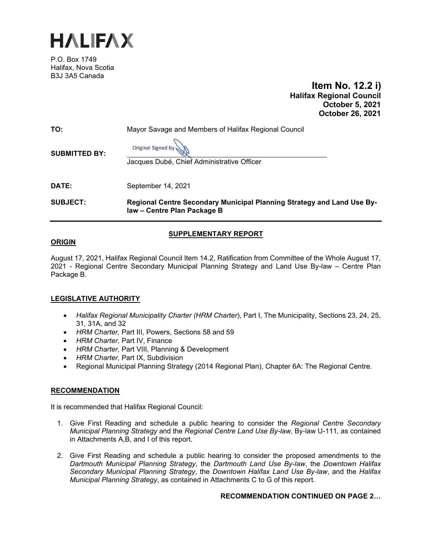

P.O. Box 1749 Halifax, Nova Scotia B3J 3A5 Canada

 **Item No. 12.2 i) Halifax Regional Council October 5, 2021 October 26, 2021**

| TO:                  | Mayor Savage and Members of Halifax Regional Council                                                  |  |
|----------------------|-------------------------------------------------------------------------------------------------------|--|
| <b>SUBMITTED BY:</b> | Original Signed by<br>Jacques Dubé, Chief Administrative Officer                                      |  |
| <b>DATE:</b>         | September 14, 2021                                                                                    |  |
| <b>SUBJECT:</b>      | Regional Centre Secondary Municipal Planning Strategy and Land Use By-<br>law - Centre Plan Package B |  |

# **SUPPLEMENTARY REPORT**

## **ORIGIN**

August 17, 2021, Halifax Regional Council Item 14.2, Ratification from Committee of the Whole August 17, 2021 - Regional Centre Secondary Municipal Planning Strategy and Land Use By-law – Centre Plan Package B.

# **LEGISLATIVE AUTHORITY**

- *Halifax Regional Municipality Charter (HRM Charter*), Part I, The Municipality, Sections 23, 24, 25, 31, 31A, and 32
- *HRM Charter,* Part III, Powers, Sections 58 and 59
- *HRM Charter*, Part IV, Finance
- *HRM Charter*, Part VIII, Planning & Development
- *HRM Charter*, Part IX, Subdivision
- Regional Municipal Planning Strategy (2014 Regional Plan), Chapter 6A: The Regional Centre.

## **RECOMMENDATION**

It is recommended that Halifax Regional Council:

- 1. Give First Reading and schedule a public hearing to consider the *Regional Centre Secondary Municipal Planning Strategy* and the *Regional Centre Land Use By-law*, By-law U-111, as contained in Attachments A,B, and I of this report.
- 2. Give First Reading and schedule a public hearing to consider the proposed amendments to the *Dartmouth Municipal Planning Strategy*, the *Dartmouth Land Use By-law*, the *Downtown Halifax Secondary Municipal Planning Strategy*, the *Downtown Halifax Land Use By-law*, and the *Halifax Municipal Planning Strategy*, as contained in Attachments C to G of this report.

## **RECOMMENDATION CONTINUED ON PAGE 2…**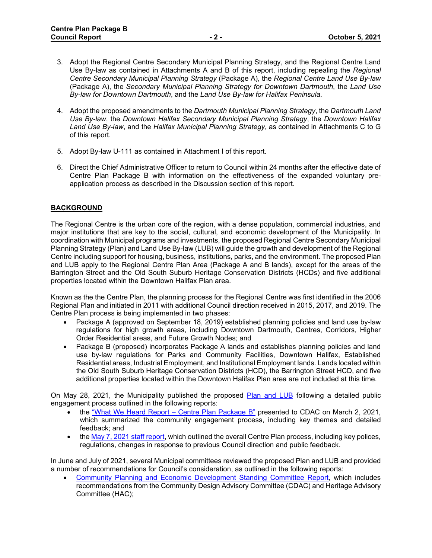- 3. Adopt the Regional Centre Secondary Municipal Planning Strategy, and the Regional Centre Land Use By-law as contained in Attachments A and B of this report, including repealing the *Regional Centre Secondary Municipal Planning Strategy* (Package A), the *Regional Centre Land Use By-law* (Package A), the *Secondary Municipal Planning Strategy for Downtown Dartmouth*, the *Land Use By-law for Downtown Dartmouth*, and the *Land Use By-law for Halifax Peninsula*.
- 4. Adopt the proposed amendments to the *Dartmouth Municipal Planning Strategy*, the *Dartmouth Land Use By-law*, the *Downtown Halifax Secondary Municipal Planning Strategy*, the *Downtown Halifax Land Use By-law*, and the *Halifax Municipal Planning Strategy*, as contained in Attachments C to G of this report.
- 5. Adopt By-law U-111 as contained in Attachment I of this report.
- 6. Direct the Chief Administrative Officer to return to Council within 24 months after the effective date of Centre Plan Package B with information on the effectiveness of the expanded voluntary preapplication process as described in the Discussion section of this report.

# **BACKGROUND**

The Regional Centre is the urban core of the region, with a dense population, commercial industries, and major institutions that are key to the social, cultural, and economic development of the Municipality. In coordination with Municipal programs and investments, the proposed Regional Centre Secondary Municipal Planning Strategy (Plan) and Land Use By-law (LUB) will guide the growth and development of the Regional Centre including support for housing, business, institutions, parks, and the environment. The proposed Plan and LUB apply to the Regional Centre Plan Area (Package A and B lands), except for the areas of the Barrington Street and the Old South Suburb Heritage Conservation Districts (HCDs) and five additional properties located within the Downtown Halifax Plan area.

Known as the the Centre Plan, the planning process for the Regional Centre was first identified in the 2006 Regional Plan and initiated in 2011 with additional Council direction received in 2015, 2017, and 2019. The Centre Plan process is being implemented in two phases:

- Package A (approved on September 18, 2019) established planning policies and land use by-law regulations for high growth areas, including Downtown Dartmouth, Centres, Corridors, Higher Order Residential areas, and Future Growth Nodes; and
- Package B (proposed) incorporates Package A lands and establishes planning policies and land use by-law regulations for Parks and Community Facilities, Downtown Halifax, Established Residential areas, Industrial Employment, and Institutional Employment lands. Lands located within the Old South Suburb Heritage Conservation Districts (HCD), the Barrington Street HCD, and five additional properties located within the Downtown Halifax Plan area are not included at this time.

On May 28, 2021, the Municipality published the proposed [Plan and LUB](https://www.halifax.ca/city-hall/boards-committees-commissions/june-2-2021-community-design-advisory-committee-special) following a detailed public engagement process outlined in the following reports:

- the ["What We Heard Report –](https://reportcenter.halifax.ca/Documents/First%20Reading%20Supplementary%20Report%20%E2%80%93%20Centre%20Plan%20Package%20B/y%20the) [Centre Plan Package B"](https://reportcenter.halifax.ca/Documents/First%20Reading%20Supplementary%20Report%20%E2%80%93%20Centre%20Plan%20Package%20B/y%20the) presented to CDAC on March 2, 2021, which summarized the community engagement process, including key themes and detailed feedback; and
- th[e May 7, 2021 staff report,](https://www.halifax.ca/sites/default/files/documents/city-hall/boards-committees-commissions/Staff%20Report%20to%20CDAC%20and%20other%20Committees_Redacted.pdf) which outlined the overall Centre Plan process, including key polices, regulations, changes in response to previous Council direction and public feedback.

In June and July of 2021, several Municipal committees reviewed the proposed Plan and LUB and provided a number of recommendations for Council's consideration, as outlined in the following reports:

• [Community Planning and Economic Development Standing Committee Report,](https://www.halifax.ca/media/74286) which includes recommendations from the Community Design Advisory Committee (CDAC) and Heritage Advisory Committee (HAC);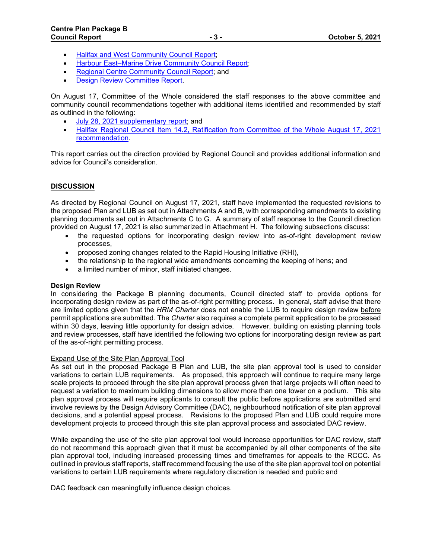- [Halifax and West Community Council Report;](https://www.halifax.ca/media/74287)
- [Harbour East–Marine Drive Community Council Report;](https://www.halifax.ca/media/74288)
- [Regional Centre Community Council Report;](https://www.halifax.ca/media/74289) and
- **[Design Review Committee Report.](https://www.halifax.ca/media/74290)**

On August 17, Committee of the Whole considered the staff responses to the above committee and community council recommendations together with additional items identified and recommended by staff as outlined in the following:

- [July 28, 2021 supplementary report;](https://www.halifax.ca/sites/default/files/documents/city-hall/regional-council/210817cow5.pdf) and
- Halifax Regional Council Item 14.2, Ratification from Committee of the Whole August 17, 2021 [recommendation.](https://www.halifax.ca/city-hall/regional-council/august-17-2021-halifax-regional-council-special-meeting)

This report carries out the direction provided by Regional Council and provides additional information and advice for Council's consideration.

## **DISCUSSION**

As directed by Regional Council on August 17, 2021, staff have implemented the requested revisions to the proposed Plan and LUB as set out in Attachments A and B, with corresponding amendments to existing planning documents set out in Attachments C to G. A summary of staff response to the Council direction provided on August 17, 2021 is also summarized in Attachment H. The following subsections discuss:

- the requested options for incorporating design review into as-of-right development review processes,
- proposed zoning changes related to the Rapid Housing Initiative (RHI),
- the relationship to the regional wide amendments concerning the keeping of hens; and
- a limited number of minor, staff initiated changes.

## **Design Review**

In considering the Package B planning documents, Council directed staff to provide options for incorporating design review as part of the as-of-right permitting process. In general, staff advise that there are limited options given that the *HRM Charter* does not enable the LUB to require design review before permit applications are submitted. The *Charter* also requires a complete permit application to be processed within 30 days, leaving little opportunity for design advice. However, building on existing planning tools and review processes, staff have identified the following two options for incorporating design review as part of the as-of-right permitting process.

## Expand Use of the Site Plan Approval Tool

As set out in the proposed Package B Plan and LUB, the site plan approval tool is used to consider variations to certain LUB requirements. As proposed, this approach will continue to require many large scale projects to proceed through the site plan approval process given that large projects will often need to request a variation to maximum building dimensions to allow more than one tower on a podium. This site plan approval process will require applicants to consult the public before applications are submitted and involve reviews by the Design Advisory Committee (DAC), neighbourhood notification of site plan approval decisions, and a potential appeal process. Revisions to the proposed Plan and LUB could require more development projects to proceed through this site plan approval process and associated DAC review.

While expanding the use of the site plan approval tool would increase opportunities for DAC review, staff do not recommend this approach given that it must be accompanied by all other components of the site plan approval tool, including increased processing times and timeframes for appeals to the RCCC. As outlined in previous staff reports, staff recommend focusing the use of the site plan approval tool on potential variations to certain LUB requirements where regulatory discretion is needed and public and

DAC feedback can meaningfully influence design choices.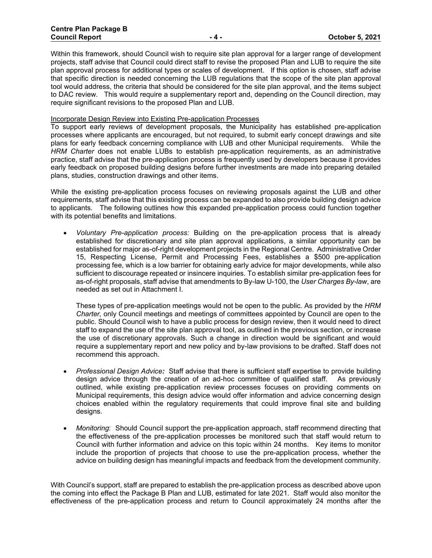Within this framework, should Council wish to require site plan approval for a larger range of development projects, staff advise that Council could direct staff to revise the proposed Plan and LUB to require the site plan approval process for additional types or scales of development. If this option is chosen, staff advise that specific direction is needed concerning the LUB regulations that the scope of the site plan approval tool would address, the criteria that should be considered for the site plan approval, and the items subject to DAC review. This would require a supplementary report and, depending on the Council direction, may require significant revisions to the proposed Plan and LUB.

#### Incorporate Design Review into Existing Pre-application Processes

To support early reviews of development proposals, the Municipality has established pre-application processes where applicants are encouraged, but not required, to submit early concept drawings and site plans for early feedback concerning compliance with LUB and other Municipal requirements. While the *HRM Charter* does not enable LUBs to establish pre-application requirements, as an administrative practice, staff advise that the pre-application process is frequently used by developers because it provides early feedback on proposed building designs before further investments are made into preparing detailed plans, studies, construction drawings and other items.

While the existing pre-application process focuses on reviewing proposals against the LUB and other requirements, staff advise that this existing process can be expanded to also provide building design advice to applicants. The following outlines how this expanded pre-application process could function together with its potential benefits and limitations.

• *Voluntary Pre-application process:* Building on the pre-application process that is already established for discretionary and site plan approval applications, a similar opportunity can be established for major as-of-right development projects in the Regional Centre. Administrative Order 15, Respecting License, Permit and Processing Fees, establishes a \$500 pre-application processing fee, which is a low barrier for obtaining early advice for major developments, while also sufficient to discourage repeated or insincere inquiries. To establish similar pre-application fees for as-of-right proposals, staff advise that amendments to By-law U-100, the *User Charges By-law*, are needed as set out in Attachment I.

These types of pre-application meetings would not be open to the public. As provided by the *HRM Charter,* only Council meetings and meetings of committees appointed by Council are open to the public. Should Council wish to have a public process for design review, then it would need to direct staff to expand the use of the site plan approval tool, as outlined in the previous section, or increase the use of discretionary approvals. Such a change in direction would be significant and would require a supplementary report and new policy and by-law provisions to be drafted. Staff does not recommend this approach.

- *Professional Design Advice:* Staff advise that there is sufficient staff expertise to provide building design advice through the creation of an ad-hoc committee of qualified staff. As previously outlined, while existing pre-application review processes focuses on providing comments on Municipal requirements, this design advice would offer information and advice concerning design choices enabled within the regulatory requirements that could improve final site and building designs.
- *Monitoring*: Should Council support the pre-application approach, staff recommend directing that the effectiveness of the pre-application processes be monitored such that staff would return to Council with further information and advice on this topic within 24 months. Key items to monitor include the proportion of projects that choose to use the pre-application process, whether the advice on building design has meaningful impacts and feedback from the development community.

With Council's support, staff are prepared to establish the pre-application process as described above upon the coming into effect the Package B Plan and LUB, estimated for late 2021. Staff would also monitor the effectiveness of the pre-application process and return to Council approximately 24 months after the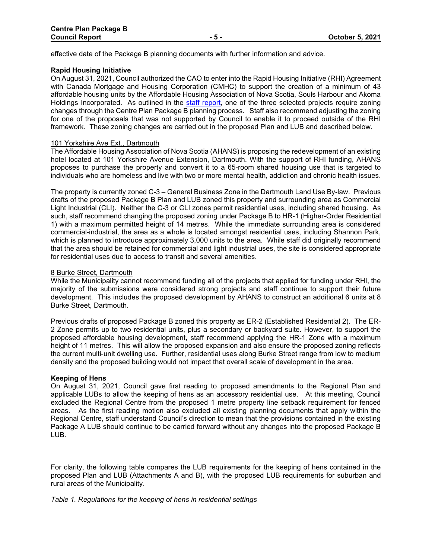effective date of the Package B planning documents with further information and advice.

## **Rapid Housing Initiative**

On August 31, 2021, Council authorized the CAO to enter into the Rapid Housing Initiative (RHI) Agreement with Canada Mortgage and Housing Corporation (CMHC) to support the creation of a minimum of 43 affordable housing units by the Affordable Housing Association of Nova Scotia, Souls Harbour and Akoma Holdings Incorporated. As outlined in the [staff report,](https://www.halifax.ca/sites/default/files/documents/city-hall/regional-council/210831rc142.pdf) one of the three selected projects require zoning changes through the Centre Plan Package B planning process. Staff also recommend adjusting the zoning for one of the proposals that was not supported by Council to enable it to proceed outside of the RHI framework. These zoning changes are carried out in the proposed Plan and LUB and described below.

#### 101 Yorkshire Ave Ext., Dartmouth

The Affordable Housing Association of Nova Scotia (AHANS) is proposing the redevelopment of an existing hotel located at 101 Yorkshire Avenue Extension, Dartmouth. With the support of RHI funding, AHANS proposes to purchase the property and convert it to a 65-room shared housing use that is targeted to individuals who are homeless and live with two or more mental health, addiction and chronic health issues.

The property is currently zoned C-3 – General Business Zone in the Dartmouth Land Use By-law. Previous drafts of the proposed Package B Plan and LUB zoned this property and surrounding area as Commercial Light Industrial (CLI). Neither the C-3 or CLI zones permit residential uses, including shared housing. As such, staff recommend changing the proposed zoning under Package B to HR-1 (Higher-Order Residential 1) with a maximum permitted height of 14 metres. While the immediate surrounding area is considered commercial-industrial, the area as a whole is located amongst residential uses, including Shannon Park, which is planned to introduce approximately 3,000 units to the area. While staff did originally recommend that the area should be retained for commercial and light industrial uses, the site is considered appropriate for residential uses due to access to transit and several amenities.

#### 8 Burke Street, Dartmouth

While the Municipality cannot recommend funding all of the projects that applied for funding under RHI, the majority of the submissions were considered strong projects and staff continue to support their future development. This includes the proposed development by AHANS to construct an additional 6 units at 8 Burke Street, Dartmouth.

Previous drafts of proposed Package B zoned this property as ER-2 (Established Residential 2). The ER-2 Zone permits up to two residential units, plus a secondary or backyard suite. However, to support the proposed affordable housing development, staff recommend applying the HR-1 Zone with a maximum height of 11 metres. This will allow the proposed expansion and also ensure the proposed zoning reflects the current multi-unit dwelling use. Further, residential uses along Burke Street range from low to medium density and the proposed building would not impact that overall scale of development in the area.

## **Keeping of Hens**

On August 31, 2021, Council gave first reading to proposed amendments to the Regional Plan and applicable LUBs to allow the keeping of hens as an accessory residential use. At this meeting, Council excluded the Regional Centre from the proposed 1 metre property line setback requirement for fenced areas. As the first reading motion also excluded all existing planning documents that apply within the Regional Centre, staff understand Council's direction to mean that the provisions contained in the existing Package A LUB should continue to be carried forward without any changes into the proposed Package B LUB.

For clarity, the following table compares the LUB requirements for the keeping of hens contained in the proposed Plan and LUB (Attachments A and B), with the proposed LUB requirements for suburban and rural areas of the Municipality.

*Table 1. Regulations for the keeping of hens in residential settings*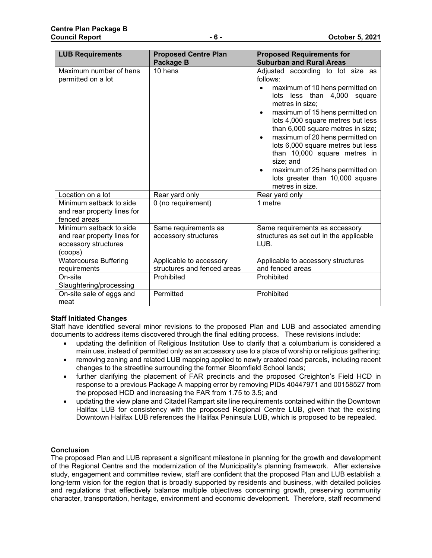| <b>LUB Requirements</b>                                                                   | <b>Proposed Centre Plan</b><br>Package B               | <b>Proposed Requirements for</b><br><b>Suburban and Rural Areas</b>                                                                                                                                                                                                                                                                                                                                                                                              |
|-------------------------------------------------------------------------------------------|--------------------------------------------------------|------------------------------------------------------------------------------------------------------------------------------------------------------------------------------------------------------------------------------------------------------------------------------------------------------------------------------------------------------------------------------------------------------------------------------------------------------------------|
| Maximum number of hens<br>permitted on a lot                                              | 10 hens                                                | Adjusted according to lot size as<br>follows:<br>maximum of 10 hens permitted on<br>lots less than 4,000<br>square<br>metres in size:<br>maximum of 15 hens permitted on<br>lots 4,000 square metres but less<br>than 6,000 square metres in size;<br>maximum of 20 hens permitted on<br>lots 6,000 square metres but less<br>than 10,000 square metres in<br>size; and<br>maximum of 25 hens permitted on<br>lots greater than 10,000 square<br>metres in size. |
| Location on a lot                                                                         | Rear yard only                                         | Rear yard only                                                                                                                                                                                                                                                                                                                                                                                                                                                   |
| Minimum setback to side<br>and rear property lines for<br>fenced areas                    | 0 (no requirement)                                     | 1 metre                                                                                                                                                                                                                                                                                                                                                                                                                                                          |
| Minimum setback to side<br>and rear property lines for<br>accessory structures<br>(coops) | Same requirements as<br>accessory structures           | Same requirements as accessory<br>structures as set out in the applicable<br>LUB.                                                                                                                                                                                                                                                                                                                                                                                |
| <b>Watercourse Buffering</b><br>requirements                                              | Applicable to accessory<br>structures and fenced areas | Applicable to accessory structures<br>and fenced areas                                                                                                                                                                                                                                                                                                                                                                                                           |
| On-site<br>Slaughtering/processing                                                        | Prohibited                                             | Prohibited                                                                                                                                                                                                                                                                                                                                                                                                                                                       |
| On-site sale of eggs and<br>meat                                                          | Permitted                                              | Prohibited                                                                                                                                                                                                                                                                                                                                                                                                                                                       |

# **Staff Initiated Changes**

Staff have identified several minor revisions to the proposed Plan and LUB and associated amending documents to address items discovered through the final editing process. These revisions include:

- updating the definition of Religious Institution Use to clarify that a columbarium is considered a main use, instead of permitted only as an accessory use to a place of worship or religious gathering;
- removing zoning and related LUB mapping applied to newly created road parcels, including recent changes to the streetline surrounding the former Bloomfield School lands;
- further clarifying the placement of FAR precincts and the proposed Creighton's Field HCD in response to a previous Package A mapping error by removing PIDs 40447971 and 00158527 from the proposed HCD and increasing the FAR from 1.75 to 3.5; and
- updating the view plane and Citadel Rampart site line requirements contained within the Downtown Halifax LUB for consistency with the proposed Regional Centre LUB, given that the existing Downtown Halifax LUB references the Halifax Peninsula LUB, which is proposed to be repealed.

# **Conclusion**

The proposed Plan and LUB represent a significant milestone in planning for the growth and development of the Regional Centre and the modernization of the Municipality's planning framework. After extensive study, engagement and committee review, staff are confident that the proposed Plan and LUB establish a long-term vision for the region that is broadly supported by residents and business, with detailed policies and regulations that effectively balance multiple objectives concerning growth, preserving community character, transportation, heritage, environment and economic development. Therefore, staff recommend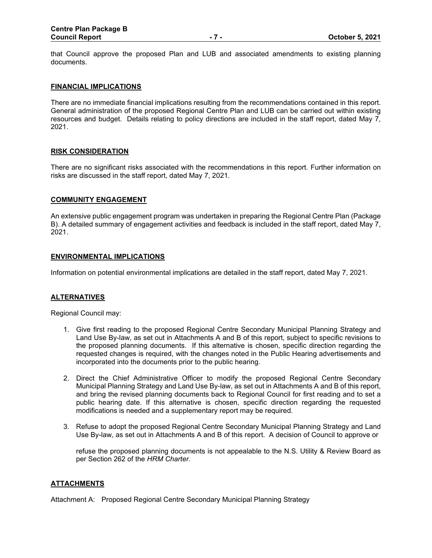that Council approve the proposed Plan and LUB and associated amendments to existing planning documents.

## **FINANCIAL IMPLICATIONS**

There are no immediate financial implications resulting from the recommendations contained in this report. General administration of the proposed Regional Centre Plan and LUB can be carried out within existing resources and budget. Details relating to policy directions are included in the staff report, dated May 7, 2021.

## **RISK CONSIDERATION**

There are no significant risks associated with the recommendations in this report. Further information on risks are discussed in the staff report, dated May 7, 2021.

#### **COMMUNITY ENGAGEMENT**

An extensive public engagement program was undertaken in preparing the Regional Centre Plan (Package B). A detailed summary of engagement activities and feedback is included in the staff report, dated May 7, 2021.

#### **ENVIRONMENTAL IMPLICATIONS**

Information on potential environmental implications are detailed in the staff report, dated May 7, 2021.

## **ALTERNATIVES**

Regional Council may:

- 1. Give first reading to the proposed Regional Centre Secondary Municipal Planning Strategy and Land Use By-law, as set out in Attachments A and B of this report, subject to specific revisions to the proposed planning documents. If this alternative is chosen, specific direction regarding the requested changes is required, with the changes noted in the Public Hearing advertisements and incorporated into the documents prior to the public hearing.
- 2. Direct the Chief Administrative Officer to modify the proposed Regional Centre Secondary Municipal Planning Strategy and Land Use By-law, as set out in Attachments A and B of this report, and bring the revised planning documents back to Regional Council for first reading and to set a public hearing date. If this alternative is chosen, specific direction regarding the requested modifications is needed and a supplementary report may be required.
- 3. Refuse to adopt the proposed Regional Centre Secondary Municipal Planning Strategy and Land Use By-law, as set out in Attachments A and B of this report. A decision of Council to approve or

refuse the proposed planning documents is not appealable to the N.S. Utility & Review Board as per Section 262 of the *HRM Charter*.

## **ATTACHMENTS**

Attachment A: Proposed Regional Centre Secondary Municipal Planning Strategy